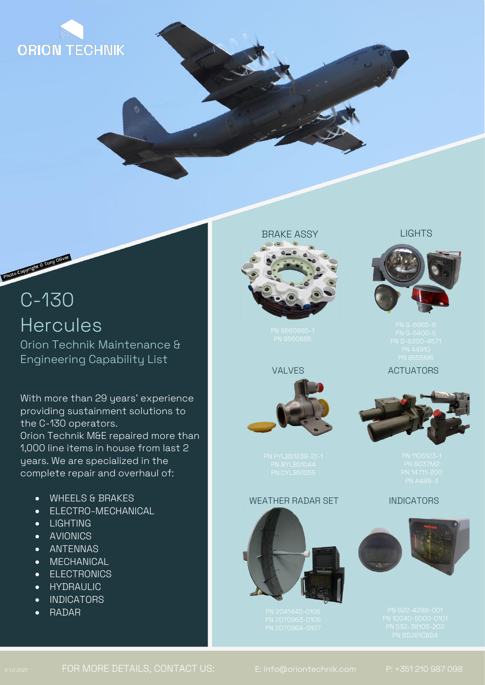

# C-130 **Hercules**

Photo Copyright @ Tony Oliver

Orion Technik Maintenance & Engineering Capability List

With more than 29 years' experience providing sustainment solutions to the C-130 operators. Orion Technik M&E repaired more than 1,000 line items in house from last 2 years. We are specialized in the complete repair and overhaul of:

- WHEELS & BRAKES
- ELECTRO-MECHANICAL
- LIGHTING
- AVIONICS
- ANTENNAS
- MECHANICAL
- ELECTRONICS
- HYDRAULIC
- INDICATORS
- FOR MORE INFORMATION, PLEASE CONTACT RADAR

# BRAKE ASSY

## VALVES



#### WEATHER RADAR SET



## LIGHTS



# ACTUATORS



# INDICATORS

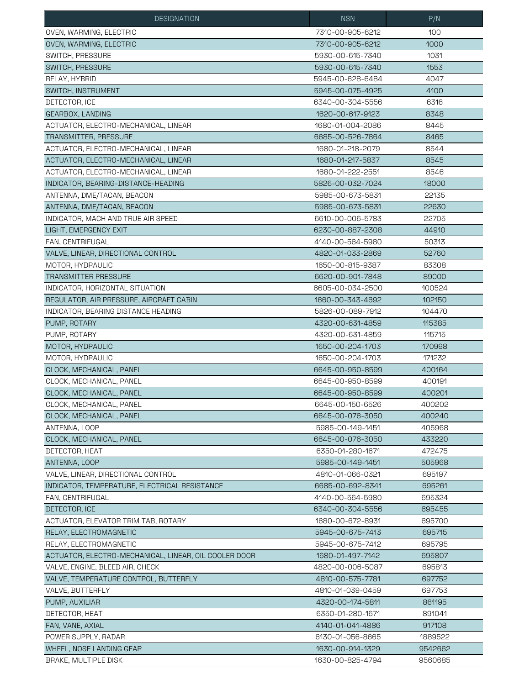| <b>DESIGNATION</b>                                    | <b>NSN</b>       | P/N              |
|-------------------------------------------------------|------------------|------------------|
| OVEN, WARMING, ELECTRIC                               | 7310-00-905-6212 | 100              |
| OVEN, WARMING, ELECTRIC                               | 7310-00-905-6212 | 1000             |
| SWITCH, PRESSURE                                      | 5930-00-615-7340 | 1031             |
| SWITCH, PRESSURE                                      | 5930-00-615-7340 | 1553             |
| RELAY, HYBRID                                         | 5945-00-628-6484 | 4047             |
| SWITCH, INSTRUMENT                                    | 5945-00-075-4925 | 4100             |
| DETECTOR, ICE                                         | 6340-00-304-5556 | 6316             |
| GEARBOX, LANDING                                      | 1620-00-617-9123 | 8348             |
| ACTUATOR, ELECTRO-MECHANICAL, LINEAR                  | 1680-01-004-2086 | 8445             |
| TRANSMITTER, PRESSURE                                 | 6685-00-526-7864 | 8465             |
| ACTUATOR, ELECTRO-MECHANICAL, LINEAR                  | 1680-01-218-2079 | 8544             |
| ACTUATOR, ELECTRO-MECHANICAL, LINEAR                  | 1680-01-217-5837 | 8545             |
| ACTUATOR, ELECTRO-MECHANICAL, LINEAR                  | 1680-01-222-2551 | 8546             |
| INDICATOR, BEARING-DISTANCE-HEADING                   | 5826-00-032-7024 | 18000            |
| ANTENNA, DME/TACAN, BEACON                            | 5985-00-673-5831 | 22135            |
| ANTENNA, DME/TACAN, BEACON                            | 5985-00-673-5831 | 22630            |
| INDICATOR, MACH AND TRUE AIR SPEED                    | 6610-00-006-5783 | 22705            |
| LIGHT, EMERGENCY EXIT                                 | 6230-00-887-2308 | 44910            |
| FAN. CENTRIFUGAL                                      | 4140-00-564-5980 | 50313            |
| VALVE, LINEAR, DIRECTIONAL CONTROL                    | 4820-01-033-2869 | 52760            |
| MOTOR, HYDRAULIC                                      | 1650-00-815-9387 | 83308            |
| <b>TRANSMITTER PRESSURE</b>                           | 6620-00-901-7848 | 89000            |
| INDICATOR, HORIZONTAL SITUATION                       | 6605-00-034-2500 | 100524           |
| REGULATOR, AIR PRESSURE, AIRCRAFT CABIN               | 1660-00-343-4692 | 102150           |
| INDICATOR, BEARING DISTANCE HEADING                   | 5826-00-089-7912 | 104470           |
| PUMP, ROTARY                                          | 4320-00-631-4859 | 115385           |
| PUMP, ROTARY                                          | 4320-00-631-4859 | 115715           |
| MOTOR, HYDRAULIC                                      | 1650-00-204-1703 | 170998           |
| MOTOR, HYDRAULIC                                      | 1650-00-204-1703 | 171232           |
| CLOCK, MECHANICAL, PANEL                              | 6645-00-950-8599 | 400164           |
| CLOCK, MECHANICAL, PANEL                              | 6645-00-950-8599 | 400191           |
| CLOCK, MECHANICAL, PANEL                              | 6645-00-950-8599 | 400201           |
| CLOCK, MECHANICAL, PANEL                              | 6645-00-150-6526 | 400202           |
| CLOCK, MECHANICAL, PANEL                              | 6645-00-076-3050 | 400240           |
| ANTENNA, LOOP                                         | 5985-00-149-1451 | 405968           |
| CLOCK, MECHANICAL, PANEL                              | 6645-00-076-3050 | 433220           |
| DETECTOR, HEAT                                        | 6350-01-280-1671 | 472475           |
| ANTENNA, LOOP                                         | 5985-00-149-1451 |                  |
| VALVE, LINEAR, DIRECTIONAL CONTROL                    | 4810-01-066-0321 | 505968<br>695197 |
| INDICATOR, TEMPERATURE, ELECTRICAL RESISTANCE         | 6685-00-692-8341 | 695261           |
| FAN, CENTRIFUGAL                                      | 4140-00-564-5980 | 695324           |
| DETECTOR, ICE                                         | 6340-00-304-5556 | 695455           |
|                                                       |                  |                  |
| ACTUATOR, ELEVATOR TRIM TAB, ROTARY                   | 1680-00-672-8931 | 695700           |
| RELAY, ELECTROMAGNETIC                                | 5945-00-675-7413 | 695715           |
| RELAY, ELECTROMAGNETIC                                | 5945-00-675-7412 | 695795           |
| ACTUATOR, ELECTRO-MECHANICAL, LINEAR, OIL COOLER DOOR | 1680-01-497-7142 | 695807           |
| VALVE, ENGINE, BLEED AIR, CHECK                       | 4820-00-006-5087 | 695813           |
| VALVE, TEMPERATURE CONTROL, BUTTERFLY                 | 4810-00-575-7781 | 697752           |
| VALVE, BUTTERFLY                                      | 4810-01-039-0459 | 697753           |
| PUMP, AUXILIAR                                        | 4320-00-174-5811 | 861195           |
| DETECTOR, HEAT                                        | 6350-01-280-1671 | 891041           |
| FAN, VANE, AXIAL                                      | 4140-01-041-4886 | 917108           |
| POWER SUPPLY, RADAR                                   | 6130-01-056-8665 | 1889522          |
| WHEEL, NOSE LANDING GEAR                              | 1630-00-914-1329 | 9542662          |
| BRAKE, MULTIPLE DISK                                  | 1630-00-825-4794 | 9560685          |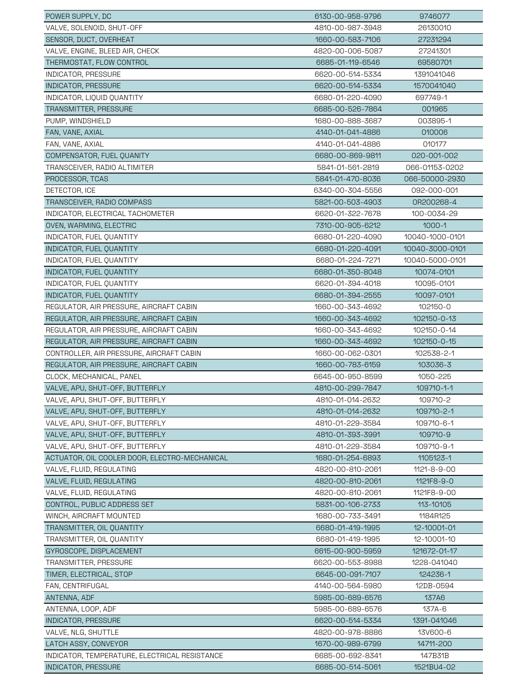| POWER SUPPLY, DC                              | 6130-00-958-9796 | 9746077         |
|-----------------------------------------------|------------------|-----------------|
| VALVE, SOLENOID, SHUT-OFF                     | 4810-00-987-3948 | 26130010        |
| SENSOR, DUCT, OVERHEAT                        | 1660-00-583-7106 | 27231294        |
| VALVE, ENGINE, BLEED AIR, CHECK               | 4820-00-006-5087 | 27241301        |
| THERMOSTAT, FLOW CONTROL                      | 6685-01-119-6546 | 69580701        |
| INDICATOR, PRESSURE                           | 6620-00-514-5334 | 1391041046      |
| <b>INDICATOR, PRESSURE</b>                    | 6620-00-514-5334 | 1570041040      |
| INDICATOR, LIQUID QUANTITY                    | 6680-01-220-4090 | 697749-1        |
| TRANSMITTER, PRESSURE                         | 6685-00-526-7864 | 001965          |
| PUMP, WINDSHIELD                              | 1680-00-888-3687 | 003895-1        |
| FAN, VANE, AXIAL                              | 4140-01-041-4886 | 010006          |
| FAN, VANE, AXIAL                              | 4140-01-041-4886 | 010177          |
| COMPENSATOR, FUEL QUANITY                     | 6680-00-869-9811 | 020-001-002     |
| TRANSCEIVER, RADIO ALTIMITER                  | 5841-01-561-2819 | 066-01153-0202  |
| PROCESSOR, TCAS                               | 5841-01-470-8036 | 066-50000-2930  |
| DETECTOR, ICE                                 | 6340-00-304-5556 | 092-000-001     |
| TRANSCEIVER, RADIO COMPASS                    | 5821-00-503-4903 | 0R200268-4      |
| INDICATOR, ELECTRICAL TACHOMETER              | 6620-01-322-7678 | 100-0034-29     |
| OVEN, WARMING, ELECTRIC                       | 7310-00-905-6212 | $1000 - 1$      |
| INDICATOR, FUEL QUANTITY                      | 6680-01-220-4090 | 10040-1000-0101 |
| INDICATOR, FUEL QUANTITY                      | 6680-01-220-4091 | 10040-3000-0101 |
| INDICATOR, FUEL QUANTITY                      | 6680-01-224-7271 | 10040-5000-0101 |
| INDICATOR, FUEL QUANTITY                      | 6680-01-350-8048 | 10074-0101      |
| INDICATOR, FUEL QUANTITY                      | 6620-01-394-4018 | 10095-0101      |
| INDICATOR, FUEL QUANTITY                      | 6680-01-394-2555 | 10097-0101      |
| REGULATOR, AIR PRESSURE, AIRCRAFT CABIN       | 1660-00-343-4692 | 102150-0        |
| REGULATOR, AIR PRESSURE, AIRCRAFT CABIN       | 1660-00-343-4692 | 102150-0-13     |
| REGULATOR, AIR PRESSURE, AIRCRAFT CABIN       | 1660-00-343-4692 | 102150-0-14     |
| REGULATOR, AIR PRESSURE, AIRCRAFT CABIN       | 1660-00-343-4692 | 102150-0-15     |
| CONTROLLER, AIR PRESSURE, AIRCRAFT CABIN      | 1660-00-062-0301 | 102538-2-1      |
| REGULATOR, AIR PRESSURE, AIRCRAFT CABIN       | 1660-00-783-6159 | 103036-3        |
| CLOCK, MECHANICAL, PANEL                      | 6645-00-950-8599 | 1050-225        |
| VALVE, APU, SHUT-OFF, BUTTERFLY               | 4810-00-299-7847 | 109710-1-1      |
| VALVE, APU, SHUT-OFF, BUTTERFLY               | 4810-01-014-2632 | 109710-2        |
| VALVE, APU, SHUT-OFF, BUTTERFLY               | 4810-01-014-2632 | 109710-2-1      |
| VALVE, APU, SHUT-OFF, BUTTERFLY               | 4810-01-229-3584 | 109710-6-1      |
| VALVE, APU, SHUT-OFF, BUTTERFLY               | 4810-01-393-3991 | 109710-9        |
| VALVE, APU, SHUT-OFF, BUTTERFLY               | 4810-01-229-3584 | 109710-9-1      |
| ACTUATOR, OIL COOLER DOOR, ELECTRO-MECHANICAL | 1680-01-254-6893 | 1105123-1       |
| VALVE, FLUID, REGULATING                      | 4820-00-810-2061 | 1121-8-9-00     |
| VALVE, FLUID, REGULATING                      | 4820-00-810-2061 | 1121F8-9-0      |
| VALVE, FLUID, REGULATING                      | 4820-00-810-2061 | 1121F8-9-00     |
| CONTROL, PUBLIC ADDRESS SET                   | 5831-00-106-2733 | 113-10105       |
| WINCH, AIRCRAFT MOUNTED                       | 1680-00-733-3491 | 1184R125        |
| TRANSMITTER, OIL QUANTITY                     | 6680-01-419-1995 | 12-10001-01     |
| TRANSMITTER, OIL QUANTITY                     | 6680-01-419-1995 | 12-10001-10     |
| GYROSCOPE, DISPLACEMENT                       | 6615-00-900-5959 | 121672-01-17    |
| TRANSMITTER, PRESSURE                         | 6620-00-553-8988 | 1228-041040     |
| TIMER, ELECTRICAL, STOP                       | 6645-00-091-7107 | 124236-1        |
| FAN, CENTRIFUGAL                              | 4140-00-564-5980 | 12DB-0594       |
| ANTENNA, ADF                                  | 5985-00-689-6576 | <b>137A6</b>    |
| ANTENNA, LOOP, ADF                            | 5985-00-689-6576 | 137A-6          |
| <b>INDICATOR, PRESSURE</b>                    | 6620-00-514-5334 | 1391-041046     |
| VALVE, NLG, SHUTTLE                           | 4820-00-978-8886 | 13V600-6        |
| LATCH ASSY, CONVEYOR                          | 1670-00-989-6799 | 14711-200       |
| INDICATOR, TEMPERATURE, ELECTRICAL RESISTANCE | 6685-00-692-8341 | 147B31B         |
| <b>INDICATOR, PRESSURE</b>                    | 6685-00-514-5061 | 1521BU4-02      |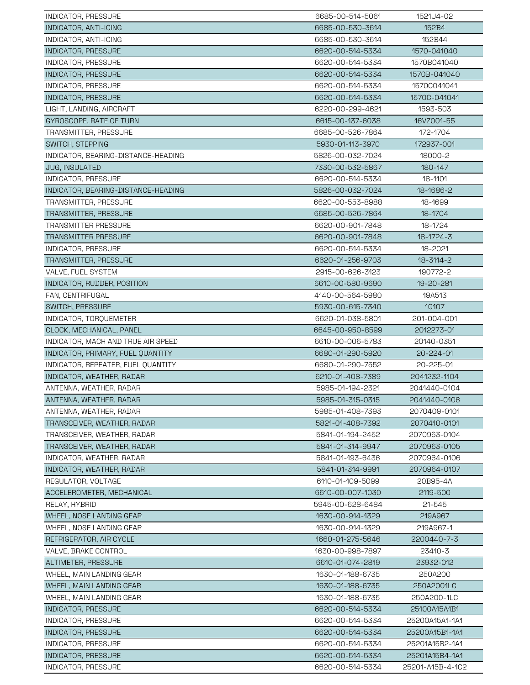| INDICATOR, PRESSURE                        | 6685-00-514-5061 | 1521U4-02                        |
|--------------------------------------------|------------------|----------------------------------|
| INDICATOR, ANTI-ICING                      | 6685-00-530-3614 | 152B4                            |
| INDICATOR, ANTI-ICING                      | 6685-00-530-3614 | 152B44                           |
| INDICATOR, PRESSURE                        | 6620-00-514-5334 | 1570-041040                      |
| INDICATOR, PRESSURE                        | 6620-00-514-5334 | 1570B041040                      |
| <b>INDICATOR, PRESSURE</b>                 | 6620-00-514-5334 | 1570B-041040                     |
| INDICATOR, PRESSURE                        | 6620-00-514-5334 | 1570C041041                      |
| INDICATOR, PRESSURE                        | 6620-00-514-5334 | 1570C-041041                     |
| LIGHT, LANDING, AIRCRAFT                   | 6220-00-299-4621 | 1593-503                         |
| GYROSCOPE, RATE OF TURN                    | 6615-00-137-6038 | 16VZ001-55                       |
| TRANSMITTER, PRESSURE                      | 6685-00-526-7864 | 172-1704                         |
| SWITCH, STEPPING                           | 5930-01-113-3970 | 172937-001                       |
| INDICATOR, BEARING-DISTANCE-HEADING        | 5826-00-032-7024 | 18000-2                          |
| JUG, INSULATED                             | 7330-00-532-5867 | 180-147                          |
| INDICATOR, PRESSURE                        | 6620-00-514-5334 | 18-1101                          |
| INDICATOR, BEARING-DISTANCE-HEADING        | 5826-00-032-7024 | 18-1686-2                        |
| TRANSMITTER, PRESSURE                      | 6620-00-553-8988 | 18-1699                          |
| TRANSMITTER, PRESSURE                      | 6685-00-526-7864 | 18-1704                          |
| <b>TRANSMITTER PRESSURE</b>                | 6620-00-901-7848 | 18-1724                          |
| <b>TRANSMITTER PRESSURE</b>                | 6620-00-901-7848 | 18-1724-3                        |
| INDICATOR, PRESSURE                        | 6620-00-514-5334 | 18-2021                          |
| TRANSMITTER, PRESSURE                      | 6620-01-256-9703 | 18-3114-2                        |
| VALVE, FUEL SYSTEM                         | 2915-00-626-3123 | 190772-2                         |
| INDICATOR, RUDDER, POSITION                | 6610-00-580-9690 | 19-20-281                        |
| FAN, CENTRIFUGAL                           | 4140-00-564-5980 | 19A513                           |
| SWITCH, PRESSURE                           | 5930-00-615-7340 | <b>1G107</b>                     |
| INDICATOR, TORQUEMETER                     | 6620-01-038-5801 | 201-004-001                      |
| CLOCK, MECHANICAL, PANEL                   | 6645-00-950-8599 | 2012273-01                       |
| INDICATOR, MACH AND TRUE AIR SPEED         | 6610-00-006-5783 | 20140-0351                       |
| INDICATOR, PRIMARY, FUEL QUANTITY          | 6680-01-290-5920 | 20-224-01                        |
| INDICATOR, REPEATER, FUEL QUANTITY         | 6680-01-290-7552 | 20-225-01                        |
| INDICATOR, WEATHER, RADAR                  | 6210-01-408-7389 | 2041232-1104                     |
| ANTENNA, WEATHER, RADAR                    | 5985-01-194-2321 | 2041440-0104                     |
| ANTENNA, WEATHER, RADAR                    | 5985-01-315-0315 | 2041440-0106                     |
| ANTENNA, WEATHER, RADAR                    | 5985-01-408-7393 | 2070409-0101                     |
| TRANSCEIVER, WEATHER, RADAR                | 5821-01-408-7392 | 2070410-0101                     |
| TRANSCEIVER, WEATHER, RADAR                | 5841-01-194-2452 | 2070963-0104                     |
| TRANSCEIVER, WEATHER, RADAR                | 5841-01-314-9947 | 2070963-0105                     |
| INDICATOR, WEATHER, RADAR                  | 5841-01-193-6436 | 2070964-0106                     |
| INDICATOR, WEATHER, RADAR                  | 5841-01-314-9991 | 2070964-0107                     |
| REGULATOR, VOLTAGE                         | 6110-01-109-5099 | 20B95-4A                         |
| ACCELEROMETER, MECHANICAL                  | 6610-00-007-1030 | 2119-500                         |
| RELAY, HYBRID                              | 5945-00-628-6484 | 21-545                           |
| WHEEL, NOSE LANDING GEAR                   | 1630-00-914-1329 | 219A967                          |
| WHEEL, NOSE LANDING GEAR                   | 1630-00-914-1329 | 219A967-1                        |
| REFRIGERATOR, AIR CYCLE                    | 1660-01-275-5646 | 2200440-7-3                      |
| VALVE, BRAKE CONTROL                       | 1630-00-998-7897 | 23410-3                          |
| ALTIMETER, PRESSURE                        | 6610-01-074-2819 | 23932-012                        |
| WHEEL, MAIN LANDING GEAR                   | 1630-01-188-6735 | 250A200                          |
| WHEEL, MAIN LANDING GEAR                   | 1630-01-188-6735 | 250A2001LC                       |
| WHEEL, MAIN LANDING GEAR                   | 1630-01-188-6735 | 250A200-1LC                      |
| <b>INDICATOR, PRESSURE</b>                 | 6620-00-514-5334 | 25100A15A1B1                     |
| INDICATOR, PRESSURE                        | 6620-00-514-5334 | 25200A15A1-1A1                   |
|                                            | 6620-00-514-5334 |                                  |
| INDICATOR, PRESSURE<br>INDICATOR, PRESSURE | 6620-00-514-5334 | 25200A15B1-1A1<br>25201A15B2-1A1 |
| INDICATOR, PRESSURE                        | 6620-00-514-5334 | 25201A15B4-1A1                   |
| INDICATOR, PRESSURE                        | 6620-00-514-5334 | 25201-A15B-4-1C2                 |
|                                            |                  |                                  |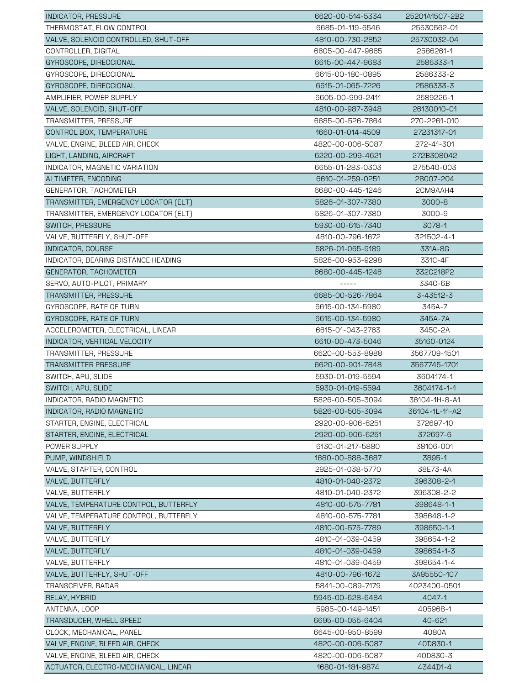| <b>INDICATOR, PRESSURE</b>                                    | 6620-00-514-5334 | 25201A15C7-2B2 |
|---------------------------------------------------------------|------------------|----------------|
| THERMOSTAT, FLOW CONTROL                                      | 6685-01-119-6546 | 25530562-01    |
| VALVE, SOLENOID CONTROLLED, SHUT-OFF                          | 4810-00-730-2852 | 25730032-04    |
| CONTROLLER, DIGITAL                                           | 6605-00-447-9665 | 2586261-1      |
| GYROSCOPE, DIRECCIONAL                                        | 6615-00-447-9683 | 2586333-1      |
| GYROSCOPE, DIRECCIONAL                                        | 6615-00-180-0895 | 2586333-2      |
| GYROSCOPE, DIRECCIONAL                                        | 6615-01-065-7226 | 2586333-3      |
| AMPLIFIER, POWER SUPPLY                                       | 6605-00-999-2411 | 2589226-1      |
| VALVE, SOLENOID, SHUT-OFF                                     | 4810-00-987-3948 | 26130010-01    |
| TRANSMITTER, PRESSURE                                         | 6685-00-526-7864 | 270-2261-010   |
| CONTROL BOX, TEMPERATURE                                      | 1660-01-014-4509 | 27231317-01    |
| VALVE, ENGINE, BLEED AIR, CHECK                               | 4820-00-006-5087 | 272-41-301     |
| LIGHT, LANDING, AIRCRAFT                                      | 6220-00-299-4621 | 272B308042     |
| INDICATOR, MAGNETIC VARIATION                                 | 6655-01-283-0303 | 275540-003     |
| ALTIMETER, ENCODING                                           | 6610-01-259-0251 | 28007-204      |
|                                                               |                  |                |
| GENERATOR, TACHOMETER<br>TRANSMITTER, EMERGENCY LOCATOR (ELT) | 6680-00-445-1246 | 2CM9AAH4       |
|                                                               | 5826-01-307-7380 | 3000-8         |
| TRANSMITTER, EMERGENCY LOCATOR (ELT)                          | 5826-01-307-7380 | 3000-9         |
| SWITCH, PRESSURE                                              | 5930-00-615-7340 | 3078-1         |
| VALVE, BUTTERFLY, SHUT-OFF                                    | 4810-00-796-1672 | 321502-4-1     |
| INDICATOR, COURSE                                             | 5826-01-065-9189 | 331A-8G        |
| INDICATOR, BEARING DISTANCE HEADING                           | 5826-00-953-9298 | 331C-4F        |
| GENERATOR, TACHOMETER                                         | 6680-00-445-1246 | 332C218P2      |
| SERVO, AUTO-PILOT, PRIMARY                                    | -----            | 334C-6B        |
| TRANSMITTER, PRESSURE                                         | 6685-00-526-7864 | 3-43512-3      |
| GYROSCOPE, RATE OF TURN                                       | 6615-00-134-5980 | 345A-7         |
| GYROSCOPE, RATE OF TURN                                       | 6615-00-134-5980 | 345A-7A        |
| ACCELEROMETER, ELECTRICAL, LINEAR                             | 6615-01-043-2763 | 345C-2A        |
| INDICATOR, VERTICAL VELOCITY                                  | 6610-00-473-5046 | 35160-0124     |
| TRANSMITTER, PRESSURE                                         | 6620-00-553-8988 | 3567709-1501   |
| <b>TRANSMITTER PRESSURE</b>                                   | 6620-00-901-7848 | 3567745-1701   |
| SWITCH, APU, SLIDE                                            | 5930-01-019-5594 | 3604174-1      |
| SWITCH, APU, SLIDE                                            | 5930-01-019-5594 | 3604174-1-1    |
| INDICATOR, RADIO MAGNETIC                                     | 5826-00-505-3094 | 36104-1H-8-A1  |
| INDICATOR, RADIO MAGNETIC                                     | 5826-00-505-3094 | 36104-1L-11-A2 |
| STARTER, ENGINE, ELECTRICAL                                   | 2920-00-906-6251 | 372697-10      |
| STARTER, ENGINE, ELECTRICAL                                   | 2920-00-906-6251 | 372697-6       |
| POWER SUPPLY                                                  | 6130-01-217-5880 | 38106-001      |
| PUMP, WINDSHIELD                                              | 1680-00-888-3687 | 3895-1         |
| VALVE, STARTER, CONTROL                                       | 2925-01-038-5770 | 38E73-4A       |
| VALVE, BUTTERFLY                                              | 4810-01-040-2372 | 396308-2-1     |
| VALVE, BUTTERFLY                                              | 4810-01-040-2372 | 396308-2-2     |
| VALVE, TEMPERATURE CONTROL, BUTTERFLY                         | 4810-00-575-7781 | 398648-1-1     |
| VALVE, TEMPERATURE CONTROL, BUTTERFLY                         | 4810-00-575-7781 | 398648-1-2     |
| VALVE, BUTTERFLY                                              | 4810-00-575-7789 | 398650-1-1     |
| VALVE, BUTTERFLY                                              | 4810-01-039-0459 | 398654-1-2     |
| VALVE, BUTTERFLY                                              | 4810-01-039-0459 | 398654-1-3     |
| VALVE, BUTTERFLY                                              | 4810-01-039-0459 | 398654-1-4     |
| VALVE, BUTTERFLY, SHUT-OFF                                    | 4810-00-796-1672 | 3A95550-107    |
| TRANSCEIVER, RADAR                                            | 5841-00-089-7179 | 4023400-0501   |
| RELAY, HYBRID                                                 | 5945-00-628-6484 | 4047-1         |
| ANTENNA, LOOP                                                 | 5985-00-149-1451 | 405968-1       |
| TRANSDUCER, WHELL SPEED                                       | 6695-00-055-6404 | 40-621         |
| CLOCK, MECHANICAL, PANEL                                      | 6645-00-950-8599 | 4080A          |
| VALVE, ENGINE, BLEED AIR, CHECK                               | 4820-00-006-5087 | 40D830-1       |
| VALVE, ENGINE, BLEED AIR, CHECK                               | 4820-00-006-5087 | 40D830-3       |
| ACTUATOR, ELECTRO-MECHANICAL, LINEAR                          | 1680-01-181-9874 | 4344D1-4       |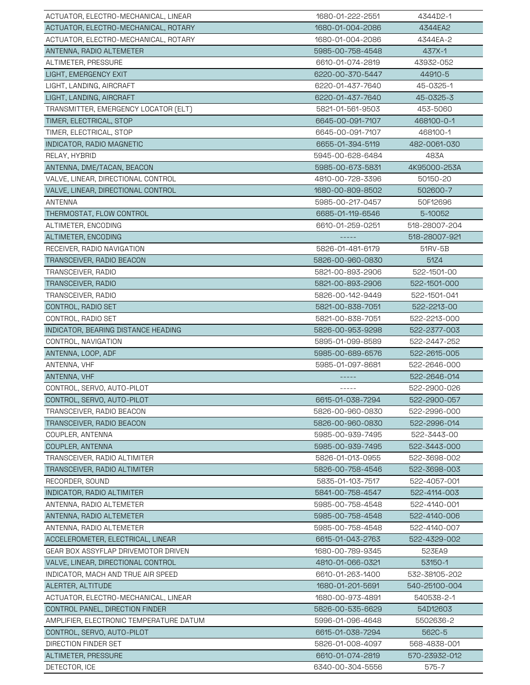| ACTUATOR, ELECTRO-MECHANICAL, LINEAR    | 1680-01-222-2551 | 4344D2-1      |
|-----------------------------------------|------------------|---------------|
| ACTUATOR, ELECTRO-MECHANICAL, ROTARY    | 1680-01-004-2086 | 4344EA2       |
| ACTUATOR, ELECTRO-MECHANICAL, ROTARY    | 1680-01-004-2086 | 4344EA-2      |
| ANTENNA, RADIO ALTEMETER                | 5985-00-758-4548 | 437X-1        |
| ALTIMETER, PRESSURE                     | 6610-01-074-2819 | 43932-052     |
| LIGHT, EMERGENCY EXIT                   | 6220-00-370-5447 | 44910-5       |
| LIGHT, LANDING, AIRCRAFT                | 6220-01-437-7640 | 45-0325-1     |
| LIGHT, LANDING, AIRCRAFT                | 6220-01-437-7640 | 45-0325-3     |
| TRANSMITTER, EMERGENCY LOCATOR (ELT)    | 5821-01-561-9503 | 453-5060      |
| TIMER, ELECTRICAL, STOP                 | 6645-00-091-7107 | 468100-0-1    |
| TIMER, ELECTRICAL, STOP                 | 6645-00-091-7107 | 468100-1      |
| INDICATOR, RADIO MAGNETIC               | 6655-01-394-5119 | 482-0061-030  |
| RELAY, HYBRID                           | 5945-00-628-6484 | 483A          |
| ANTENNA, DME/TACAN, BEACON              | 5985-00-673-5831 | 4K95000-253A  |
| VALVE, LINEAR, DIRECTIONAL CONTROL      | 4810-00-728-3396 | 50150-20      |
| VALVE, LINEAR, DIRECTIONAL CONTROL      | 1680-00-809-8502 | 502600-7      |
| <b>ANTENNA</b>                          | 5985-00-217-0457 | 50F12696      |
| THERMOSTAT, FLOW CONTROL                | 6685-01-119-6546 | 5-10052       |
| ALTIMETER, ENCODING                     | 6610-01-259-0251 | 518-28007-204 |
| ALTIMETER, ENCODING                     |                  | 518-28007-921 |
| RECEIVER, RADIO NAVIGATION              | 5826-01-481-6179 | 51RV-5B       |
| TRANSCEIVER, RADIO BEACON               | 5826-00-960-0830 | 51Z4          |
| TRANSCEIVER, RADIO                      | 5821-00-893-2906 | 522-1501-00   |
| TRANSCEIVER, RADIO                      | 5821-00-893-2906 | 522-1501-000  |
| TRANSCEIVER, RADIO                      | 5826-00-142-9449 | 522-1501-041  |
| CONTROL, RADIO SET                      | 5821-00-838-7051 | 522-2213-00   |
| CONTROL, RADIO SET                      | 5821-00-838-7051 | 522-2213-000  |
| INDICATOR, BEARING DISTANCE HEADING     | 5826-00-953-9298 | 522-2377-003  |
| CONTROL, NAVIGATION                     | 5895-01-099-8589 | 522-2447-252  |
| ANTENNA, LOOP, ADF                      | 5985-00-689-6576 | 522-2615-005  |
| ANTENNA, VHF                            | 5985-01-097-8681 | 522-2646-000  |
| ANTENNA, VHF                            |                  | 522-2646-014  |
| CONTROL, SERVO, AUTO-PILOT              | $- - - - -$      | 522-2900-026  |
| CONTROL, SERVO, AUTO-PILOT              | 6615-01-038-7294 | 522-2900-057  |
| TRANSCEIVER, RADIO BEACON               | 5826-00-960-0830 | 522-2996-000  |
| TRANSCEIVER, RADIO BEACON               | 5826-00-960-0830 | 522-2996-014  |
| COUPLER, ANTENNA                        | 5985-00-939-7495 | 522-3443-00   |
| COUPLER, ANTENNA                        | 5985-00-939-7495 | 522-3443-000  |
| TRANSCEIVER, RADIO ALTIMITER            | 5826-01-013-0955 | 522-3698-002  |
| TRANSCEIVER, RADIO ALTIMITER            | 5826-00-758-4546 | 522-3698-003  |
| RECORDER, SOUND                         | 5835-01-103-7517 | 522-4057-001  |
| INDICATOR, RADIO ALTIMITER              | 5841-00-758-4547 | 522-4114-003  |
| ANTENNA, RADIO ALTEMETER                | 5985-00-758-4548 | 522-4140-001  |
| ANTENNA, RADIO ALTEMETER                | 5985-00-758-4548 | 522-4140-006  |
| ANTENNA, RADIO ALTEMETER                | 5985-00-758-4548 | 522-4140-007  |
| ACCELEROMETER, ELECTRICAL, LINEAR       | 6615-01-043-2763 | 522-4329-002  |
| GEAR BOX ASSYFLAP DRIVEMOTOR DRIVEN     | 1680-00-789-9345 | 523EA9        |
| VALVE, LINEAR, DIRECTIONAL CONTROL      | 4810-01-066-0321 | 53150-1       |
| INDICATOR, MACH AND TRUE AIR SPEED      | 6610-01-263-1400 | 532-38105-202 |
| ALERTER, ALTITUDE                       | 1680-01-201-5691 | 540-25100-004 |
| ACTUATOR, ELECTRO-MECHANICAL, LINEAR    | 1680-00-973-4891 | 540538-2-1    |
| CONTROL PANEL, DIRECTION FINDER         | 5826-00-535-6629 | 54D12603      |
| AMPLIFIER, ELECTRONIC TEMPERATURE DATUM | 5996-01-096-4648 | 5502636-2     |
| CONTROL, SERVO, AUTO-PILOT              | 6615-01-038-7294 | 562C-5        |
| DIRECTION FINDER SET                    | 5826-01-008-4097 | 568-4838-001  |
| ALTIMETER, PRESSURE                     | 6610-01-074-2819 | 570-23932-012 |
| DETECTOR, ICE                           | 6340-00-304-5556 | 575-7         |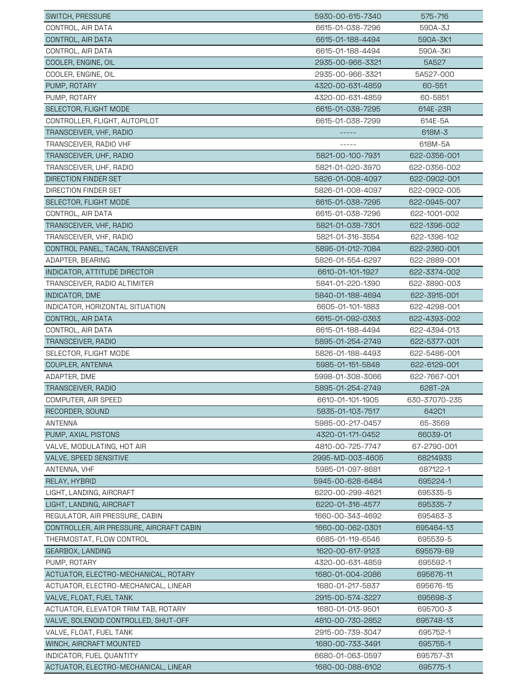| SWITCH, PRESSURE                                     | 5930-00-615-7340 | 575-716                 |
|------------------------------------------------------|------------------|-------------------------|
| CONTROL, AIR DATA                                    | 6615-01-038-7296 | 590A-3J                 |
| CONTROL, AIR DATA                                    | 6615-01-188-4494 | 590A-3K1                |
| CONTROL, AIR DATA                                    | 6615-01-188-4494 | 590A-3KI                |
| COOLER, ENGINE, OIL                                  | 2935-00-966-3321 | 5A527                   |
| COOLER, ENGINE, OIL                                  | 2935-00-966-3321 | 5A527-000               |
| PUMP, ROTARY                                         | 4320-00-631-4859 | 60-551                  |
| PUMP, ROTARY                                         | 4320-00-631-4859 | 60-5851                 |
| SELECTOR, FLIGHT MODE                                | 6615-01-038-7295 | 614E-23R                |
| CONTROLLER, FLIGHT, AUTOPILOT                        | 6615-01-038-7299 | 614E-5A                 |
| TRANSCEIVER, VHF, RADIO                              |                  | 618M-3                  |
| TRANSCEIVER, RADIO VHF                               | -----            | 618M-5A                 |
| TRANSCEIVER, UHF, RADIO                              | 5821-00-100-7931 | 622-0356-001            |
| TRANSCEIVER, UHF, RADIO                              | 5821-01-020-3970 | 622-0356-002            |
| DIRECTION FINDER SET                                 | 5826-01-008-4097 | 622-0902-001            |
| DIRECTION FINDER SET                                 | 5826-01-008-4097 | 622-0902-005            |
| SELECTOR, FLIGHT MODE                                | 6615-01-038-7295 | 622-0945-007            |
| CONTROL, AIR DATA                                    | 6615-01-038-7296 | 622-1001-002            |
| TRANSCEIVER, VHF, RADIO                              | 5821-01-038-7301 | 622-1396-002            |
| TRANSCEIVER, VHF, RADIO                              | 5821-01-316-3554 | 622-1396-102            |
| CONTROL PANEL, TACAN, TRANSCEIVER                    | 5895-01-012-7084 | 622-2360-001            |
| ADAPTER, BEARING                                     | 5826-01-554-6297 | 622-2889-001            |
| INDICATOR, ATTITUDE DIRECTOR                         | 6610-01-101-1927 | 622-3374-002            |
| TRANSCEIVER, RADIO ALTIMITER                         | 5841-01-220-1390 | 622-3890-003            |
| INDICATOR, DME                                       | 5840-01-188-4694 | 622-3915-001            |
| INDICATOR, HORIZONTAL SITUATION                      | 6605-01-101-1883 | 622-4298-001            |
| CONTROL, AIR DATA                                    | 6615-01-092-0363 | 622-4393-002            |
|                                                      | 6615-01-188-4494 | 622-4394-013            |
| CONTROL, AIR DATA<br>TRANSCEIVER, RADIO              | 5895-01-254-2749 | 622-5377-001            |
| SELECTOR, FLIGHT MODE                                | 5826-01-188-4493 | 622-5486-001            |
| COUPLER, ANTENNA                                     | 5985-01-151-5848 | 622-6129-001            |
| ADAPTER, DME                                         | 5998-01-308-3066 | 622-7667-001            |
| <b>TRANSCEIVER, RADIO</b>                            | 5895-01-254-2749 | 628T-2A                 |
| COMPUTER, AIR SPEED                                  | 6610-01-101-1905 | 630-37070-235           |
| RECORDER, SOUND                                      | 5835-01-103-7517 | 642C1                   |
|                                                      | 5985-00-217-0457 | 65-3569                 |
| ANTENNA                                              |                  |                         |
| PUMP, AXIAL PISTONS                                  | 4320-01-171-0452 | 66039-01<br>67-2790-001 |
| VALVE, MODULATING, HOT AIR<br>VALVE, SPEED SENSITIVE | 4810-00-725-7747 |                         |
|                                                      | 2995-MD-003-4605 | 6821493S                |
| ANTENNA, VHF                                         | 5985-01-097-8681 | 687122-1                |
| RELAY, HYBRID                                        | 5945-00-628-6484 | 695224-1                |
| LIGHT, LANDING, AIRCRAFT<br>LIGHT, LANDING, AIRCRAFT | 6220-00-299-4621 | 695335-5<br>695335-7    |
|                                                      | 6220-01-316-4577 |                         |
| REGULATOR, AIR PRESSURE, CABIN                       | 1660-00-343-4692 | 695463-3                |
| CONTROLLER, AIR PRESSURE, AIRCRAFT CABIN             | 1660-00-062-0301 | 695464-13               |
| THERMOSTAT, FLOW CONTROL                             | 6685-01-119-6546 | 695539-5                |
| GEARBOX, LANDING                                     | 1620-00-617-9123 | 695579-69               |
| PUMP, ROTARY                                         | 4320-00-631-4859 | 695592-1                |
| ACTUATOR, ELECTRO-MECHANICAL, ROTARY                 | 1680-01-004-2086 | 695676-11               |
| ACTUATOR, ELECTRO-MECHANICAL, LINEAR                 | 1680-01-217-5837 | 695676-15               |
| VALVE, FLOAT, FUEL TANK                              | 2915-00-574-3227 | 695698-3                |
| ACTUATOR, ELEVATOR TRIM TAB, ROTARY                  | 1680-01-013-9501 | 695700-3                |
| VALVE, SOLENOID CONTROLLED, SHUT-OFF                 | 4810-00-730-2852 | 695748-13               |
| VALVE, FLOAT, FUEL TANK                              | 2915-00-739-3047 | 695752-1                |
| WINCH, AIRCRAFT MOUNTED                              | 1680-00-733-3491 | 695755-1                |
| INDICATOR, FUEL QUANTITY                             | 6680-01-063-0597 | 695757-31               |
| ACTUATOR, ELECTRO-MECHANICAL, LINEAR                 | 1680-00-088-6102 | 695775-1                |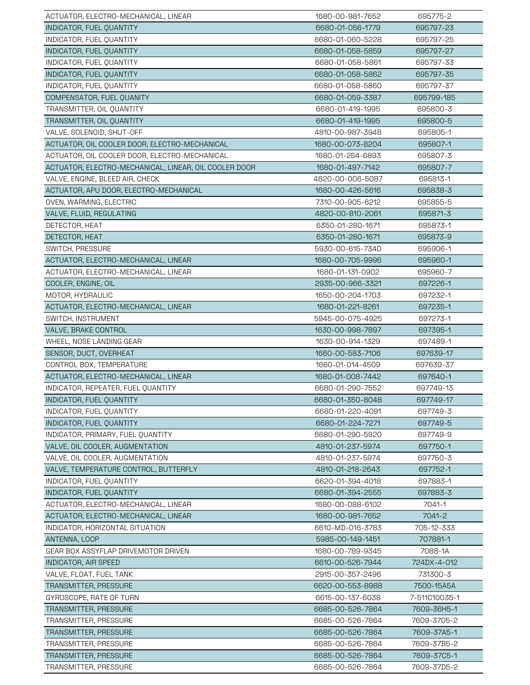| ACTUATOR, ELECTRO-MECHANICAL, LINEAR                  | 1680-00-981-7652 | 695775-2      |
|-------------------------------------------------------|------------------|---------------|
| INDICATOR, FUEL QUANTITY                              | 6680-01-056-1779 | 695797-23     |
| INDICATOR, FUEL QUANTITY                              | 6680-01-060-5228 | 695797-25     |
| INDICATOR, FUEL QUANTITY                              | 6680-01-058-5859 | 695797-27     |
| INDICATOR, FUEL QUANTITY                              | 6680-01-058-5861 | 695797-33     |
| INDICATOR, FUEL QUANTITY                              | 6680-01-058-5862 | 695797-35     |
| INDICATOR, FUEL QUANTITY                              | 6680-01-058-5860 | 695797-37     |
| COMPENSATOR, FUEL QUANITY                             | 6680-01-059-3387 | 695799-185    |
| TRANSMITTER, OIL QUANTITY                             | 6680-01-419-1995 | 695800-3      |
| TRANSMITTER, OIL QUANTITY                             | 6680-01-419-1995 | 695800-5      |
| VALVE, SOLENOID, SHUT-OFF                             | 4810-00-987-3948 | 695805-1      |
| ACTUATOR, OIL COOLER DOOR, ELECTRO-MECHANICAL         | 1680-00-073-8204 | 695807-1      |
| ACTUATOR, OIL COOLER DOOR, ELECTRO-MECHANICAL         | 1680-01-254-6893 | 695807-3      |
| ACTUATOR, ELECTRO-MECHANICAL, LINEAR, OIL COOLER DOOR | 1680-01-497-7142 | 695807-7      |
| VALVE, ENGINE, BLEED AIR, CHECK                       | 4820-00-006-5087 | 695813-1      |
| ACTUATOR, APU DOOR, ELECTRO-MECHANICAL                | 1680-00-426-5616 | 695838-3      |
| OVEN, WARMING, ELECTRIC                               | 7310-00-905-6212 | 695855-5      |
| VALVE, FLUID, REGULATING                              | 4820-00-810-2061 | 695871-3      |
| DETECTOR, HEAT                                        | 6350-01-280-1671 | 695873-1      |
| DETECTOR, HEAT                                        | 6350-01-280-1671 | 695873-9      |
| SWITCH, PRESSURE                                      | 5930-00-615-7340 | 695906-1      |
| ACTUATOR, ELECTRO-MECHANICAL, LINEAR                  | 1680-00-705-9996 | 695960-1      |
| ACTUATOR, ELECTRO-MECHANICAL, LINEAR                  | 1680-01-131-0902 | 695960-7      |
| COOLER, ENGINE, OIL                                   | 2935-00-966-3321 | 697226-1      |
| MOTOR, HYDRAULIC                                      | 1650-00-204-1703 | 697232-1      |
| ACTUATOR, ELECTRO-MECHANICAL, LINEAR                  | 1680-01-221-8261 | 697235-1      |
| SWITCH, INSTRUMENT                                    | 5945-00-075-4925 | 697273-1      |
| VALVE, BRAKE CONTROL                                  | 1630-00-998-7897 | 697395-1      |
| WHEEL, NOSE LANDING GEAR                              | 1630-00-914-1329 | 697489-1      |
| SENSOR, DUCT, OVERHEAT                                | 1660-00-583-7106 | 697639-17     |
| CONTROL BOX, TEMPERATURE                              | 1660-01-014-4509 | 697639-37     |
| ACTUATOR, ELECTRO-MECHANICAL, LINEAR                  | 1680-01-008-7442 | 697640-1      |
| INDICATOR, REPEATER, FUEL QUANTITY                    | 6680-01-290-7552 | 697749-13     |
| INDICATOR, FUEL QUANTITY                              | 6680-01-350-8048 | 697749-17     |
| INDICATOR, FUEL QUANTITY                              | 6680-01-220-4091 | 697749-3      |
| INDICATOR, FUEL QUANTITY                              | 6680-01-224-7271 | 697749-5      |
| INDICATOR, PRIMARY, FUEL QUANTITY                     | 6680-01-290-5920 | 697749-9      |
| VALVE, OIL COOLER, AUGMENTATION                       | 4810-01-237-5974 | 697750-1      |
| VALVE, OIL COOLER, AUGMENTATION                       | 4810-01-237-5974 | 697750-3      |
| VALVE, TEMPERATURE CONTROL, BUTTERFLY                 | 4810-01-218-2643 | 697752-1      |
| INDICATOR, FUEL QUANTITY                              | 6620-01-394-4018 | 697883-1      |
| INDICATOR, FUEL QUANTITY                              | 6680-01-394-2555 | 697883-3      |
| ACTUATOR, ELECTRO-MECHANICAL, LINEAR                  | 1680-00-088-6102 | 7041-1        |
| ACTUATOR, ELECTRO-MECHANICAL, LINEAR                  | 1680-00-981-7652 | 7041-2        |
| INDICATOR, HORIZONTAL SITUATION                       | 6610-MD-016-3783 | 705-12-333    |
| ANTENNA, LOOP                                         | 5985-00-149-1451 | 707881-1      |
| GEAR BOX ASSYFLAP DRIVEMOTOR DRIVEN                   | 1680-00-789-9345 | 7088-1A       |
| INDICATOR, AIR SPEED                                  | 6610-00-526-7944 | 724DX-4-012   |
| VALVE, FLOAT, FUEL TANK                               | 2915-00-357-2496 | 731300-3      |
| TRANSMITTER, PRESSURE                                 | 6620-00-553-8988 | 7500-15A5A    |
| GYROSCOPE, RATE OF TURN                               | 6615-00-137-6038 | 7-511C10035-1 |
| TRANSMITTER, PRESSURE                                 | 6685-00-526-7864 | 7609-36H5-1   |
| TRANSMITTER, PRESSURE                                 | 6685-00-526-7864 | 7609-3705-2   |
| TRANSMITTER, PRESSURE                                 | 6685-00-526-7864 | 7609-37A5-1   |
| TRANSMITTER, PRESSURE                                 | 6685-00-526-7864 | 7609-37B5-2   |
| TRANSMITTER, PRESSURE                                 | 6685-00-526-7864 | 7609-3705-1   |
| TRANSMITTER, PRESSURE                                 | 6685-00-526-7864 | 7609-37D5-2   |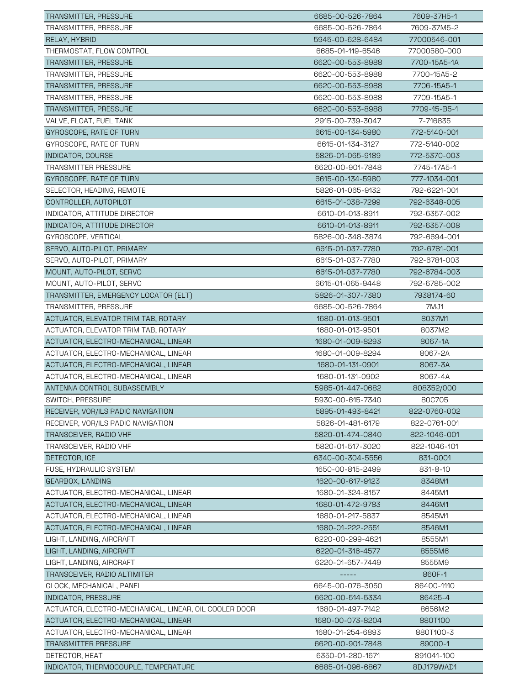| TRANSMITTER, PRESSURE                                 | 6685-00-526-7864 | 7609-37H5-1  |
|-------------------------------------------------------|------------------|--------------|
| TRANSMITTER, PRESSURE                                 | 6685-00-526-7864 | 7609-37M5-2  |
| RELAY, HYBRID                                         | 5945-00-628-6484 | 77000546-001 |
| THERMOSTAT, FLOW CONTROL                              | 6685-01-119-6546 | 77000580-000 |
| TRANSMITTER, PRESSURE                                 | 6620-00-553-8988 | 7700-15A5-1A |
| TRANSMITTER, PRESSURE                                 | 6620-00-553-8988 | 7700-15A5-2  |
| TRANSMITTER, PRESSURE                                 | 6620-00-553-8988 | 7706-15A5-1  |
| TRANSMITTER, PRESSURE                                 | 6620-00-553-8988 | 7709-15A5-1  |
| <b>TRANSMITTER, PRESSURE</b>                          | 6620-00-553-8988 | 7709-15-B5-1 |
| VALVE, FLOAT, FUEL TANK                               | 2915-00-739-3047 | 7-716835     |
| GYROSCOPE, RATE OF TURN                               | 6615-00-134-5980 | 772-5140-001 |
| GYROSCOPE, RATE OF TURN                               | 6615-01-134-3127 | 772-5140-002 |
| INDICATOR, COURSE                                     | 5826-01-065-9189 | 772-5370-003 |
| <b>TRANSMITTER PRESSURE</b>                           | 6620-00-901-7848 | 7745-17A5-1  |
| GYROSCOPE, RATE OF TURN                               | 6615-00-134-5980 | 777-1034-001 |
| SELECTOR, HEADING, REMOTE                             | 5826-01-065-9132 | 792-6221-001 |
| CONTROLLER, AUTOPILOT                                 | 6615-01-038-7299 | 792-6348-005 |
| INDICATOR, ATTITUDE DIRECTOR                          | 6610-01-013-8911 | 792-6357-002 |
| INDICATOR, ATTITUDE DIRECTOR                          | 6610-01-013-8911 | 792-6357-008 |
| GYROSCOPE, VERTICAL                                   | 5826-00-348-3874 | 792-6694-001 |
| SERVO, AUTO-PILOT, PRIMARY                            | 6615-01-037-7780 | 792-6781-001 |
| SERVO, AUTO-PILOT, PRIMARY                            | 6615-01-037-7780 | 792-6781-003 |
| MOUNT, AUTO-PILOT, SERVO                              | 6615-01-037-7780 | 792-6784-003 |
| MOUNT, AUTO-PILOT, SERVO                              | 6615-01-065-9448 | 792-6785-002 |
| TRANSMITTER, EMERGENCY LOCATOR (ELT)                  | 5826-01-307-7380 | 7938174-60   |
| TRANSMITTER, PRESSURE                                 | 6685-00-526-7864 | 7MJ1         |
| ACTUATOR, ELEVATOR TRIM TAB, ROTARY                   | 1680-01-013-9501 | 8037M1       |
| ACTUATOR, ELEVATOR TRIM TAB, ROTARY                   | 1680-01-013-9501 | 8037M2       |
| ACTUATOR, ELECTRO-MECHANICAL, LINEAR                  | 1680-01-009-8293 | 8067-1A      |
| ACTUATOR, ELECTRO-MECHANICAL, LINEAR                  | 1680-01-009-8294 | 8067-2A      |
| ACTUATOR, ELECTRO-MECHANICAL, LINEAR                  | 1680-01-131-0901 | 8067-3A      |
| ACTUATOR, ELECTRO-MECHANICAL, LINEAR                  | 1680-01-131-0902 | 8067-4A      |
| ANTENNA CONTROL SUBASSEMBLY                           | 5985-01-447-0682 | 808352/000   |
| SWITCH, PRESSURE                                      | 5930-00-615-7340 | 80C705       |
| RECEIVER, VOR/ILS RADIO NAVIGATION                    | 5895-01-493-8421 | 822-0760-002 |
| RECEIVER, VOR/ILS RADIO NAVIGATION                    | 5826-01-481-6179 | 822-0761-001 |
| TRANSCEIVER, RADIO VHF                                | 5820-01-474-0840 | 822-1046-001 |
| TRANSCEIVER, RADIO VHF                                | 5820-01-517-3020 | 822-1046-101 |
| DETECTOR, ICE                                         | 6340-00-304-5556 | 831-0001     |
| FUSE, HYDRAULIC SYSTEM                                | 1650-00-815-2499 | 831-8-10     |
| GEARBOX, LANDING                                      | 1620-00-617-9123 | 8348M1       |
| ACTUATOR, ELECTRO-MECHANICAL, LINEAR                  | 1680-01-324-8157 | 8445M1       |
| ACTUATOR, ELECTRO-MECHANICAL, LINEAR                  | 1680-01-472-9783 | 8446M1       |
| ACTUATOR, ELECTRO-MECHANICAL, LINEAR                  | 1680-01-217-5837 | 8545M1       |
| ACTUATOR, ELECTRO-MECHANICAL, LINEAR                  | 1680-01-222-2551 | 8546M1       |
| LIGHT, LANDING, AIRCRAFT                              | 6220-00-299-4621 | 8555M1       |
| LIGHT, LANDING, AIRCRAFT                              | 6220-01-316-4577 | 8555M6       |
| LIGHT, LANDING, AIRCRAFT                              | 6220-01-657-7449 | 8555M9       |
| TRANSCEIVER, RADIO ALTIMITER                          |                  | 860F-1       |
| CLOCK, MECHANICAL, PANEL                              | 6645-00-076-3050 | 86400-1110   |
| <b>INDICATOR, PRESSURE</b>                            | 6620-00-514-5334 | 86425-4      |
| ACTUATOR, ELECTRO-MECHANICAL, LINEAR, OIL COOLER DOOR | 1680-01-497-7142 | 8656M2       |
| ACTUATOR, ELECTRO-MECHANICAL, LINEAR                  | 1680-00-073-8204 | 880T100      |
| ACTUATOR, ELECTRO-MECHANICAL, LINEAR                  | 1680-01-254-6893 | 880T100-3    |
| <b>TRANSMITTER PRESSURE</b>                           | 6620-00-901-7848 | 89000-1      |
| DETECTOR, HEAT                                        | 6350-01-280-1671 | 891041-100   |
| INDICATOR, THERMOCOUPLE, TEMPERATURE                  | 6685-01-096-6867 | 8DJ179WAD1   |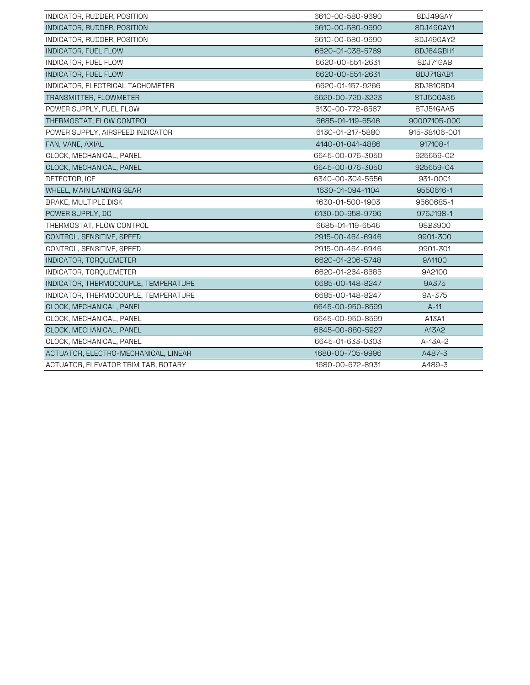| INDICATOR, RUDDER, POSITION          | 6610-00-580-9690 | 8DJ49GAY      |
|--------------------------------------|------------------|---------------|
| INDICATOR, RUDDER, POSITION          | 6610-00-580-9690 | 8DJ49GAY1     |
| INDICATOR, RUDDER, POSITION          | 6610-00-580-9690 | 8DJ49GAY2     |
| INDICATOR, FUEL FLOW                 | 6620-01-038-5769 | 8DJ64GBH1     |
| INDICATOR, FUEL FLOW                 | 6620-00-551-2631 | 8DJ71GAB      |
| INDICATOR, FUEL FLOW                 | 6620-00-551-2631 | 8DJ71GAB1     |
| INDICATOR, ELECTRICAL TACHOMETER     | 6620-01-157-9266 | 8DJ81CBD4     |
| TRANSMITTER, FLOWMETER               | 6620-00-720-3223 | 8TJ50GAS5     |
| POWER SUPPLY, FUEL FLOW              | 6130-00-772-8567 | 8TJ51GAA5     |
| THERMOSTAT, FLOW CONTROL             | 6685-01-119-6546 | 90007105-000  |
| POWER SUPPLY, AIRSPEED INDICATOR     | 6130-01-217-5880 | 915-38106-001 |
| FAN, VANE, AXIAL                     | 4140-01-041-4886 | 917108-1      |
| CLOCK, MECHANICAL, PANEL             | 6645-00-076-3050 | 925659-02     |
| CLOCK, MECHANICAL, PANEL             | 6645-00-076-3050 | 925659-04     |
| DETECTOR, ICE                        | 6340-00-304-5556 | 931-0001      |
| WHEEL, MAIN LANDING GEAR             | 1630-01-094-1104 | 9550616-1     |
| BRAKE, MULTIPLE DISK                 | 1630-01-500-1903 | 9560685-1     |
| POWER SUPPLY, DC                     | 6130-00-958-9796 | 976J198-1     |
| THERMOSTAT, FLOW CONTROL             | 6685-01-119-6546 | 98B3900       |
| CONTROL, SENSITIVE, SPEED            | 2915-00-464-6946 | 9901-300      |
| CONTROL, SENSITIVE, SPEED            | 2915-00-464-6946 | 9901-301      |
| INDICATOR, TORQUEMETER               | 6620-01-206-5748 | 9A1100        |
| INDICATOR, TOROUEMETER               | 6620-01-264-8685 | 9A2100        |
| INDICATOR, THERMOCOUPLE, TEMPERATURE | 6685-00-148-8247 | 9A375         |
| INDICATOR, THERMOCOUPLE, TEMPERATURE | 6685-00-148-8247 | 9A-375        |
| CLOCK, MECHANICAL, PANEL             | 6645-00-950-8599 | $A-11$        |
| CLOCK, MECHANICAL, PANEL             | 6645-00-950-8599 | A13A1         |
| CLOCK, MECHANICAL, PANEL             | 6645-00-880-5927 | A13A2         |
| CLOCK, MECHANICAL, PANEL             | 6645-01-633-0303 | $A-13A-2$     |
| ACTUATOR, ELECTRO-MECHANICAL, LINEAR | 1680-00-705-9996 | A487-3        |
| ACTUATOR, ELEVATOR TRIM TAB, ROTARY  | 1680-00-672-8931 | A489-3        |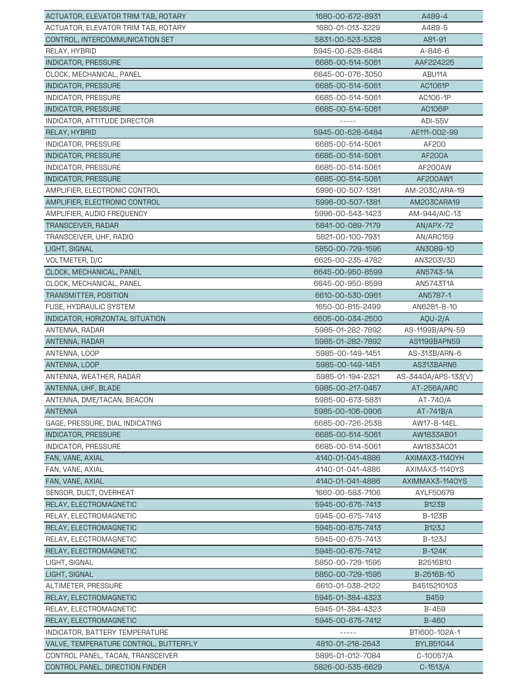| ACTUATOR, ELEVATOR TRIM TAB, ROTARY                                        | 1680-00-672-8931                     | A489-4                 |
|----------------------------------------------------------------------------|--------------------------------------|------------------------|
| ACTUATOR, ELEVATOR TRIM TAB, ROTARY                                        | 1680-01-013-3229                     | A489-5                 |
| CONTROL, INTERCOMMUNICATION SET                                            | 5831-00-523-5328                     | A81-91                 |
| RELAY, HYBRID                                                              | 5945-00-628-6484                     | A-846-6                |
| INDICATOR, PRESSURE                                                        | 6685-00-514-5061                     | AAF224225              |
| CLOCK, MECHANICAL, PANEL                                                   | 6645-00-076-3050                     | ABU11A                 |
| <b>INDICATOR, PRESSURE</b>                                                 | 6685-00-514-5061                     | AC1061P                |
| INDICATOR, PRESSURE                                                        | 6685-00-514-5061                     | AC106-1P               |
| <b>INDICATOR, PRESSURE</b>                                                 | 6685-00-514-5061                     | <b>AC106IP</b>         |
| INDICATOR, ATTITUDE DIRECTOR                                               | -----                                | <b>ADI-55V</b>         |
| RELAY, HYBRID                                                              | 5945-00-628-6484                     | AE111-002-99           |
| INDICATOR, PRESSURE                                                        | 6685-00-514-5061                     | AF200                  |
| INDICATOR, PRESSURE                                                        | 6685-00-514-5061                     | AF200A                 |
| INDICATOR, PRESSURE                                                        | 6685-00-514-5061                     | AF200AW                |
| INDICATOR, PRESSURE                                                        | 6685-00-514-5061                     | AF200AW1               |
| AMPLIFIER, ELECTRONIC CONTROL                                              | 5996-00-507-1381                     | AM-203C/ARA-19         |
| AMPLIFIER, ELECTRONIC CONTROL                                              | 5996-00-507-1381                     | AM203CARA19            |
| AMPLIFIER, AUDIO FREQUENCY                                                 | 5996-00-543-1423                     | AM-944/AIC-13          |
| TRANSCEIVER, RADAR                                                         | 5841-00-089-7179                     | AN/APX-72              |
| TRANSCEIVER, UHF, RADIO                                                    | 5821-00-100-7931                     | AN/ARC159              |
| LIGHT, SIGNAL                                                              | 5850-00-729-1595                     | AN3089-10              |
| VOLTMETER, D/C                                                             | 6625-00-235-4782                     | AN3203V30              |
| CLOCK, MECHANICAL, PANEL                                                   | 6645-00-950-8599                     | AN5743-1A              |
| CLOCK, MECHANICAL, PANEL                                                   | 6645-00-950-8599                     | AN5743T1A              |
| TRANSMITTER, POSITION                                                      | 6610-00-530-0961                     | AN5787-1               |
| FUSE, HYDRAULIC SYSTEM                                                     | 1650-00-815-2499                     | AN6281-8-10            |
| INDICATOR, HORIZONTAL SITUATION                                            | 6605-00-034-2500                     | $AQU-2/A$              |
| ANTENNA, RADAR                                                             | 5985-01-282-7892                     | AS-1199B/APN-59        |
| ANTENNA, RADAR                                                             | 5985-01-282-7892                     | AS1199BAPN59           |
| ANTENNA, LOOP                                                              | 5985-00-149-1451                     | AS-313B/ARN-6          |
| ANTENNA, LOOP                                                              | 5985-00-149-1451                     | AS313BARN6             |
| ANTENNA, WEATHER, RADAR                                                    | 5985-01-194-2321                     | AS-3440A/APS-133(V)    |
| ANTENNA, UHF, BLADE                                                        | 5985-00-217-0457                     | AT-256A/ARC            |
| ANTENNA, DME/TACAN, BEACON                                                 | 5985-00-673-5831                     | AT-740/A               |
| <b>ANTENNA</b>                                                             | 5985-00-106-0906                     | AT-741B/A              |
| GAGE, PRESSURE, DIAL INDICATING                                            | 6685-00-726-2538                     | AW17-8-14EL            |
| INDICATOR, PRESSURE                                                        | 6685-00-514-5061                     | AW1833AB01             |
| INDICATOR, PRESSURE                                                        | 6685-00-514-5061                     | AW1833AC01             |
| FAN, VANE, AXIAL                                                           | 4140-01-041-4886                     | AXIMAX3-1140YH         |
| FAN, VANE, AXIAL                                                           | 4140-01-041-4886                     | AXIMAX3-1140YS         |
| FAN, VANE, AXIAL                                                           | 4140-01-041-4886                     | AXIMMAX3-1140YS        |
| SENSOR, DUCT, OVERHEAT                                                     | 1660-00-583-7106                     | AYLF50679              |
| RELAY, ELECTROMAGNETIC                                                     | 5945-00-675-7413                     | <b>B123B</b>           |
| RELAY, ELECTROMAGNETIC                                                     | 5945-00-675-7413                     | <b>B-123B</b>          |
| RELAY, ELECTROMAGNETIC                                                     | 5945-00-675-7413                     | <b>B123J</b>           |
| RELAY, ELECTROMAGNETIC                                                     | 5945-00-675-7413                     | <b>B-123J</b>          |
| RELAY, ELECTROMAGNETIC                                                     | 5945-00-675-7412                     | B-124K                 |
| LIGHT, SIGNAL                                                              | 5850-00-729-1595                     | B2516B10               |
| LIGHT, SIGNAL                                                              | 5850-00-729-1595                     | B-2516B-10             |
| ALTIMETER, PRESSURE                                                        | 6610-01-038-2122                     | B4515210103            |
| RELAY, ELECTROMAGNETIC                                                     | 5945-01-384-4323                     | <b>B459</b>            |
| RELAY, ELECTROMAGNETIC                                                     | 5945-01-384-4323                     | B-459                  |
| RELAY, ELECTROMAGNETIC                                                     | 5945-00-675-7412                     | <b>B-460</b>           |
| INDICATOR, BATTERY TEMPERATURE                                             |                                      | BTI600-102A-1          |
| VALVE, TEMPERATURE CONTROL, BUTTERFLY<br>CONTROL PANEL, TACAN, TRANSCEIVER | 4810-01-218-2643<br>5895-01-012-7084 | BYLB51044<br>C-10057/A |
|                                                                            |                                      |                        |
| CONTROL PANEL, DIRECTION FINDER                                            | 5826-00-535-6629                     | $C-1513/A$             |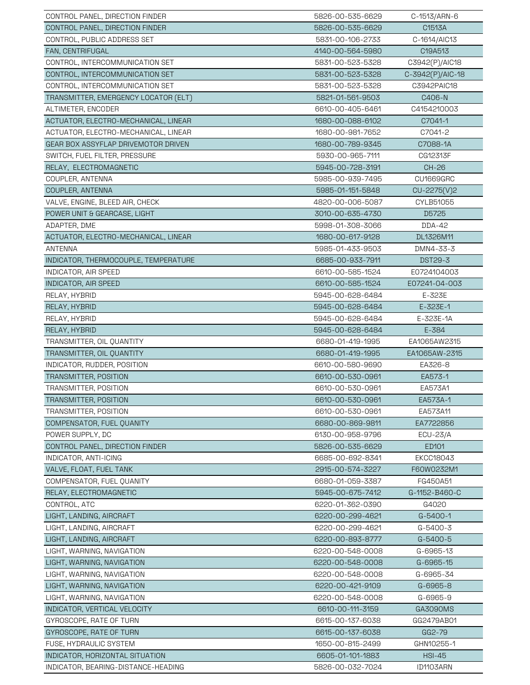| CONTROL PANEL, DIRECTION FINDER      | 5826-00-535-6629 | C-1513/ARN-6     |
|--------------------------------------|------------------|------------------|
| CONTROL PANEL, DIRECTION FINDER      | 5826-00-535-6629 | C1513A           |
| CONTROL, PUBLIC ADDRESS SET          | 5831-00-106-2733 | C-1614/AIC13     |
| FAN, CENTRIFUGAL                     | 4140-00-564-5980 | C19A513          |
| CONTROL, INTERCOMMUNICATION SET      | 5831-00-523-5328 | C3942(P)/AIC18   |
| CONTROL, INTERCOMMUNICATION SET      | 5831-00-523-5328 | C-3942(P)/AIC-18 |
| CONTROL, INTERCOMMUNICATION SET      | 5831-00-523-5328 | C3942PAIC18      |
| TRANSMITTER, EMERGENCY LOCATOR (ELT) | 5821-01-561-9503 | C406-N           |
| ALTIMETER, ENCODER                   | 6610-00-405-6461 | C4154210003      |
| ACTUATOR, ELECTRO-MECHANICAL, LINEAR | 1680-00-088-6102 | C7041-1          |
| ACTUATOR, ELECTRO-MECHANICAL, LINEAR | 1680-00-981-7652 | C7041-2          |
| GEAR BOX ASSYFLAP DRIVEMOTOR DRIVEN  | 1680-00-789-9345 | C7088-1A         |
| SWITCH, FUEL FILTER, PRESSURE        | 5930-00-965-7111 | CG12313F         |
| RELAY, ELECTROMAGNETIC               | 5945-00-728-3191 | CH-26            |
| COUPLER, ANTENNA                     | 5985-00-939-7495 | CU1669GRC        |
| COUPLER, ANTENNA                     | 5985-01-151-5848 | $CU-2275(V)2$    |
| VALVE, ENGINE, BLEED AIR, CHECK      | 4820-00-006-5087 | CYLB51055        |
| POWER UNIT & GEARCASE, LIGHT         | 3010-00-635-4730 | D5725            |
| ADAPTER, DME                         | 5998-01-308-3066 | DDA-42           |
| ACTUATOR, ELECTRO-MECHANICAL, LINEAR | 1680-00-617-9128 | DL1326M11        |
| ANTENNA                              | 5985-01-433-9503 | DMN4-33-3        |
| INDICATOR, THERMOCOUPLE, TEMPERATURE | 6685-00-933-7911 | DST29-3          |
| INDICATOR, AIR SPEED                 | 6610-00-585-1524 | E0724104003      |
| INDICATOR, AIR SPEED                 | 6610-00-585-1524 | E07241-04-003    |
| RELAY, HYBRID                        | 5945-00-628-6484 | E-323E           |
| RELAY, HYBRID                        | 5945-00-628-6484 | $E - 323E - 1$   |
| RELAY, HYBRID                        | 5945-00-628-6484 | E-323E-1A        |
| RELAY, HYBRID                        | 5945-00-628-6484 | E-384            |
| TRANSMITTER, OIL QUANTITY            | 6680-01-419-1995 | EA1065AW2315     |
| TRANSMITTER, OIL QUANTITY            | 6680-01-419-1995 | EA1065AW-2315    |
| INDICATOR, RUDDER, POSITION          | 6610-00-580-9690 | EA326-8          |
| TRANSMITTER, POSITION                | 6610-00-530-0961 | EA573-1          |
| TRANSMITTER, POSITION                | 6610-00-530-0961 | EA573A1          |
| TRANSMITTER, POSITION                | 6610-00-530-0961 | EA573A-1         |
| TRANSMITTER, POSITION                | 6610-00-530-0961 | EA573A11         |
| COMPENSATOR, FUEL QUANITY            | 6680-00-869-9811 | EA7722856        |
| POWER SUPPLY, DC                     | 6130-00-958-9796 | <b>ECU-23/A</b>  |
| CONTROL PANEL, DIRECTION FINDER      | 5826-00-535-6629 | ED101            |
| INDICATOR, ANTI-ICING                | 6685-00-692-8341 | <b>EKCC18043</b> |
| VALVE, FLOAT, FUEL TANK              | 2915-00-574-3227 | F60W0232M1       |
| COMPENSATOR, FUEL QUANITY            | 6680-01-059-3387 | FG450A51         |
| RELAY, ELECTROMAGNETIC               | 5945-00-675-7412 | G-1152-B460-C    |
| CONTROL, ATC                         | 6220-01-362-0390 | G4020            |
| LIGHT, LANDING, AIRCRAFT             | 6220-00-299-4621 | $G-5400-1$       |
| LIGHT, LANDING, AIRCRAFT             | 6220-00-299-4621 | G-5400-3         |
| LIGHT, LANDING, AIRCRAFT             | 6220-00-893-8777 | G-5400-5         |
| LIGHT, WARNING, NAVIGATION           | 6220-00-548-0008 | G-6965-13        |
| LIGHT, WARNING, NAVIGATION           | 6220-00-548-0008 | G-6965-15        |
| LIGHT, WARNING, NAVIGATION           | 6220-00-548-0008 | G-6965-34        |
| LIGHT, WARNING, NAVIGATION           | 6220-00-421-9109 | G-6965-8         |
| LIGHT, WARNING, NAVIGATION           | 6220-00-548-0008 | G-6965-9         |
| INDICATOR, VERTICAL VELOCITY         | 6610-00-111-3159 | GA3090MS         |
| GYROSCOPE, RATE OF TURN              | 6615-00-137-6038 | GG2479AB01       |
| GYROSCOPE, RATE OF TURN              | 6615-00-137-6038 | GG2-79           |
| FUSE, HYDRAULIC SYSTEM               | 1650-00-815-2499 | GHN10255-1       |
| INDICATOR, HORIZONTAL SITUATION      | 6605-01-101-1883 | <b>HSI-45</b>    |
| INDICATOR, BEARING-DISTANCE-HEADING  | 5826-00-032-7024 | ID1103ARN        |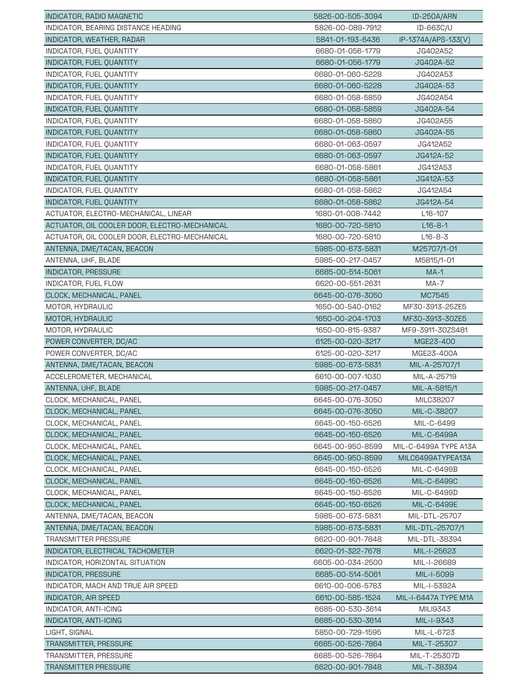| INDICATOR, RADIO MAGNETIC                     | 5826-00-505-3094 | ID-250A/ARN           |
|-----------------------------------------------|------------------|-----------------------|
| INDICATOR, BEARING DISTANCE HEADING           | 5826-00-089-7912 | ID-663C/U             |
| INDICATOR, WEATHER, RADAR                     | 5841-01-193-6436 | IP-1374A/APS-133(V)   |
| INDICATOR, FUEL QUANTITY                      | 6680-01-056-1779 | JG402A52              |
| INDICATOR, FUEL OUANTITY                      | 6680-01-056-1779 | JG402A-52             |
| INDICATOR, FUEL QUANTITY                      | 6680-01-060-5228 | JG402A53              |
| INDICATOR, FUEL QUANTITY                      | 6680-01-060-5228 | JG402A-53             |
| INDICATOR, FUEL QUANTITY                      | 6680-01-058-5859 | JG402A54              |
| INDICATOR, FUEL QUANTITY                      | 6680-01-058-5859 | JG402A-54             |
| INDICATOR, FUEL QUANTITY                      | 6680-01-058-5860 | JG402A55              |
| INDICATOR, FUEL QUANTITY                      | 6680-01-058-5860 | JG402A-55             |
| INDICATOR, FUEL QUANTITY                      | 6680-01-063-0597 | JG412A52              |
| INDICATOR, FUEL QUANTITY                      | 6680-01-063-0597 | JG412A-52             |
| INDICATOR, FUEL QUANTITY                      | 6680-01-058-5861 | JG412A53              |
| INDICATOR, FUEL QUANTITY                      | 6680-01-058-5861 | JG412A-53             |
| INDICATOR, FUEL QUANTITY                      | 6680-01-058-5862 | JG412A54              |
| INDICATOR, FUEL QUANTITY                      | 6680-01-058-5862 | JG412A-54             |
| ACTUATOR, ELECTRO-MECHANICAL, LINEAR          | 1680-01-008-7442 | L <sub>16</sub> -107  |
| ACTUATOR, OIL COOLER DOOR, ELECTRO-MECHANICAL | 1680-00-720-5810 | $L16 - 8 - 1$         |
| ACTUATOR, OIL COOLER DOOR, ELECTRO-MECHANICAL | 1680-00-720-5810 | $L16 - 8 - 3$         |
| ANTENNA, DME/TACAN, BEACON                    | 5985-00-673-5831 | M25707/1-01           |
| ANTENNA, UHF, BLADE                           | 5985-00-217-0457 | M5815/1-01            |
| INDICATOR, PRESSURE                           | 6685-00-514-5061 | $MA-1$                |
| INDICATOR, FUEL FLOW                          | 6620-00-551-2631 | MA-7                  |
| CLOCK, MECHANICAL, PANEL                      | 6645-00-076-3050 | MC7545                |
| MOTOR, HYDRAULIC                              | 1650-00-540-0162 | MF30-3913-25ZE5       |
| MOTOR, HYDRAULIC                              | 1650-00-204-1703 | MF30-3913-30ZE5       |
| MOTOR, HYDRAULIC                              | 1650-00-815-9387 | MF9-3911-30ZS481      |
| POWER CONVERTER, DC/AC                        | 6125-00-020-3217 | MGE23-400             |
| POWER CONVERTER, DC/AC                        | 6125-00-020-3217 | MGE23-400A            |
| ANTENNA, DME/TACAN, BEACON                    | 5985-00-673-5831 | MIL-A-25707/1         |
| ACCELEROMETER, MECHANICAL                     | 6610-00-007-1030 | MIL-A-25719           |
| ANTENNA, UHF, BLADE                           | 5985-00-217-0457 | MIL-A-5815/1          |
| CLOCK, MECHANICAL, PANEL                      | 6645-00-076-3050 | MILC38207             |
| CLOCK, MECHANICAL, PANEL                      | 6645-00-076-3050 | MIL-C-38207           |
| CLOCK, MECHANICAL, PANEL                      | 6645-00-150-6526 | MIL-C-6499            |
| CLOCK, MECHANICAL, PANEL                      | 6645-00-150-6526 | MIL-C-6499A           |
| CLOCK, MECHANICAL, PANEL                      | 6645-00-950-8599 | MIL-C-6499A TYPE A13A |
| CLOCK, MECHANICAL, PANEL                      | 6645-00-950-8599 | MILC6499ATYPEA13A     |
| CLOCK, MECHANICAL, PANEL                      | 6645-00-150-6526 | MIL-C-6499B           |
| CLOCK, MECHANICAL, PANEL                      | 6645-00-150-6526 | MIL-C-6499C           |
| CLOCK, MECHANICAL, PANEL                      | 6645-00-150-6526 | MIL-C-6499D           |
| CLOCK, MECHANICAL, PANEL                      | 6645-00-150-6526 | MIL-C-6499E           |
| ANTENNA, DME/TACAN, BEACON                    | 5985-00-673-5831 | MIL-DTL-25707         |
| ANTENNA, DME/TACAN, BEACON                    | 5985-00-673-5831 | MIL-DTL-25707/1       |
| <b>TRANSMITTER PRESSURE</b>                   | 6620-00-901-7848 | MIL-DTL-38394         |
| INDICATOR, ELECTRICAL TACHOMETER              | 6620-01-322-7678 | MIL-I-25623           |
| INDICATOR, HORIZONTAL SITUATION               | 6605-00-034-2500 | MIL-I-26689           |
| <b>INDICATOR, PRESSURE</b>                    | 6685-00-514-5061 | MIL-I-5099            |
| INDICATOR, MACH AND TRUE AIR SPEED            | 6610-00-006-5783 | MIL-I-5392A           |
| INDICATOR, AIR SPEED                          | 6610-00-585-1524 | MIL-I-6447A TYPE M1A  |
| INDICATOR, ANTI-ICING                         | 6685-00-530-3614 | MILI9343              |
| INDICATOR, ANTI-ICING                         | 6685-00-530-3614 | MIL-I-9343            |
| LIGHT, SIGNAL                                 | 5850-00-729-1595 | MIL-L-6723            |
| <b>TRANSMITTER, PRESSURE</b>                  | 6685-00-526-7864 | MIL-T-25307           |
| TRANSMITTER, PRESSURE                         | 6685-00-526-7864 | MIL-T-25307D          |
| TRANSMITTER PRESSURE                          | 6620-00-901-7848 | MIL-T-38394           |
|                                               |                  |                       |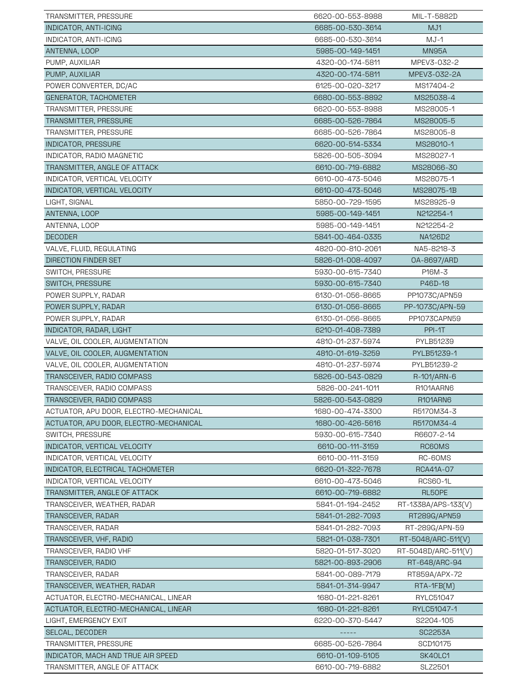| TRANSMITTER, PRESSURE                  | 6620-00-553-8988 | MIL-T-5882D         |
|----------------------------------------|------------------|---------------------|
| INDICATOR, ANTI-ICING                  | 6685-00-530-3614 | MJ1                 |
| INDICATOR, ANTI-ICING                  | 6685-00-530-3614 | MJ-1                |
| ANTENNA, LOOP                          | 5985-00-149-1451 | MN95A               |
| PUMP, AUXILIAR                         | 4320-00-174-5811 | MPEV3-032-2         |
| PUMP, AUXILIAR                         | 4320-00-174-5811 | MPEV3-032-2A        |
| POWER CONVERTER, DC/AC                 | 6125-00-020-3217 | MS17404-2           |
| GENERATOR, TACHOMETER                  | 6680-00-553-8892 | MS25038-4           |
| TRANSMITTER, PRESSURE                  | 6620-00-553-8988 | MS28005-1           |
| TRANSMITTER, PRESSURE                  | 6685-00-526-7864 | MS28005-5           |
| TRANSMITTER, PRESSURE                  | 6685-00-526-7864 | MS28005-8           |
| <b>INDICATOR, PRESSURE</b>             | 6620-00-514-5334 | MS28010-1           |
| INDICATOR, RADIO MAGNETIC              | 5826-00-505-3094 | MS28027-1           |
| TRANSMITTER, ANGLE OF ATTACK           | 6610-00-719-6882 | MS28066-30          |
| INDICATOR, VERTICAL VELOCITY           | 6610-00-473-5046 | MS28075-1           |
| INDICATOR, VERTICAL VELOCITY           | 6610-00-473-5046 | MS28075-1B          |
| LIGHT, SIGNAL                          | 5850-00-729-1595 | MS28925-9           |
| ANTENNA, LOOP                          | 5985-00-149-1451 | N212254-1           |
| ANTENNA, LOOP                          | 5985-00-149-1451 | N212254-2           |
| <b>DECODER</b>                         | 5841-00-464-0335 | NA126D2             |
| VALVE, FLUID, REGULATING               | 4820-00-810-2061 | NA5-8218-3          |
| DIRECTION FINDER SET                   | 5826-01-008-4097 | 0A-8697/ARD         |
| SWITCH, PRESSURE                       | 5930-00-615-7340 | P16M-3              |
| SWITCH, PRESSURE                       | 5930-00-615-7340 | P46D-18             |
| POWER SUPPLY, RADAR                    | 6130-01-056-8665 | PP1073C/APN59       |
| POWER SUPPLY, RADAR                    | 6130-01-056-8665 | PP-1073C/APN-59     |
| POWER SUPPLY, RADAR                    | 6130-01-056-8665 | PP1073CAPN59        |
| <b>INDICATOR, RADAR, LIGHT</b>         | 6210-01-408-7389 | PPI-1T              |
| VALVE, OIL COOLER, AUGMENTATION        | 4810-01-237-5974 | PYLB51239           |
| VALVE, OIL COOLER, AUGMENTATION        | 4810-01-619-3259 | PYLB51239-1         |
| VALVE, OIL COOLER, AUGMENTATION        | 4810-01-237-5974 | PYLB51239-2         |
| TRANSCEIVER, RADIO COMPASS             | 5826-00-543-0829 | R-101/ARN-6         |
| TRANSCEIVER, RADIO COMPASS             | 5826-00-241-1011 | R101AARN6           |
| TRANSCEIVER, RADIO COMPASS             | 5826-00-543-0829 | R101ARN6            |
| ACTUATOR, APU DOOR, ELECTRO-MECHANICAL | 1680-00-474-3300 | R5170M34-3          |
| ACTUATOR, APU DOOR, ELECTRO-MECHANICAL | 1680-00-426-5616 | R5170M34-4          |
| SWITCH, PRESSURE                       | 5930-00-615-7340 | R6607-2-14          |
| INDICATOR, VERTICAL VELOCITY           | 6610-00-111-3159 | RC60MS              |
| INDICATOR, VERTICAL VELOCITY           | 6610-00-111-3159 | RC-60MS             |
| INDICATOR, ELECTRICAL TACHOMETER       | 6620-01-322-7678 | RCA41A-07           |
| INDICATOR, VERTICAL VELOCITY           | 6610-00-473-5046 | <b>RCS60-1L</b>     |
| TRANSMITTER, ANGLE OF ATTACK           | 6610-00-719-6882 | RL50PE              |
| TRANSCEIVER, WEATHER, RADAR            | 5841-01-194-2452 | RT-1338A/APS-133(V) |
| TRANSCEIVER, RADAR                     | 5841-01-282-7093 | RT289G/APN59        |
| TRANSCEIVER, RADAR                     | 5841-01-282-7093 | RT-289G/APN-59      |
| TRANSCEIVER, VHF, RADIO                | 5821-01-038-7301 | RT-5048/ARC-511(V)  |
| TRANSCEIVER, RADIO VHF                 | 5820-01-517-3020 | RT-5048D/ARC-511(V) |
| TRANSCEIVER, RADIO                     | 5821-00-893-2906 | RT-648/ARC-94       |
| TRANSCEIVER, RADAR                     | 5841-00-089-7179 | RT859A/APX-72       |
| TRANSCEIVER, WEATHER, RADAR            | 5841-01-314-9947 | $RTA-1FB(M)$        |
| ACTUATOR, ELECTRO-MECHANICAL, LINEAR   | 1680-01-221-8261 | RYLC51047           |
| ACTUATOR, ELECTRO-MECHANICAL, LINEAR   | 1680-01-221-8261 | RYLC51047-1         |
| LIGHT, EMERGENCY EXIT                  | 6220-00-370-5447 | S2204-105           |
| <b>SELCAL, DECODER</b>                 |                  | SC2253A             |
| TRANSMITTER, PRESSURE                  | 6685-00-526-7864 | SCD10175            |
| INDICATOR, MACH AND TRUE AIR SPEED     | 6610-01-109-5105 | SK40LC1             |
| TRANSMITTER, ANGLE OF ATTACK           | 6610-00-719-6882 | SLZ2501             |